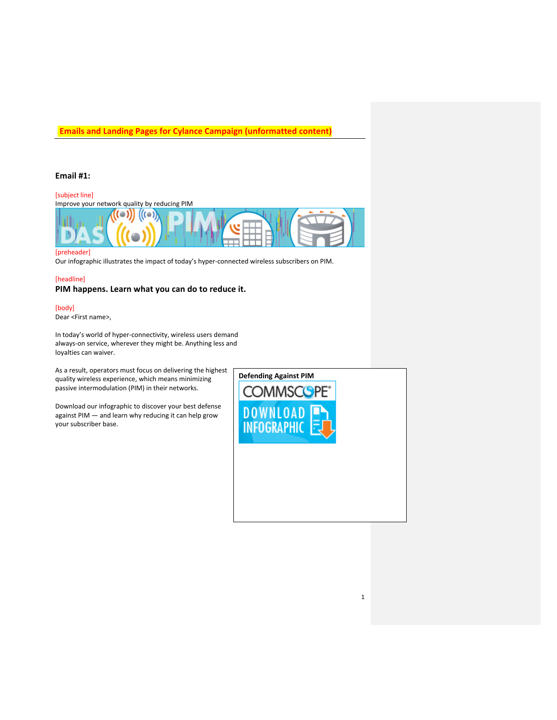### **Email #1:**

### [subject line]

Improve your network quality by reducing PIM



#### [preheader]

Our infographic illustrates the impact of today's hyper-connected wireless subscribers on PIM.

# [headline] **PIM happens. Learn what you can do to reduce it.**

### [body]

Dear <First name>,

In today's world of hyper-connectivity, wireless users demand always-on service, wherever they might be. Anything less and loyalties can waiver.

As a result, operators must focus on delivering the highest quality wireless experience, which means minimizing passive intermodulation (PIM) in their networks.

Download our infographic to discover your best defense against PIM — and learn why reducing it can help grow your subscriber base.



1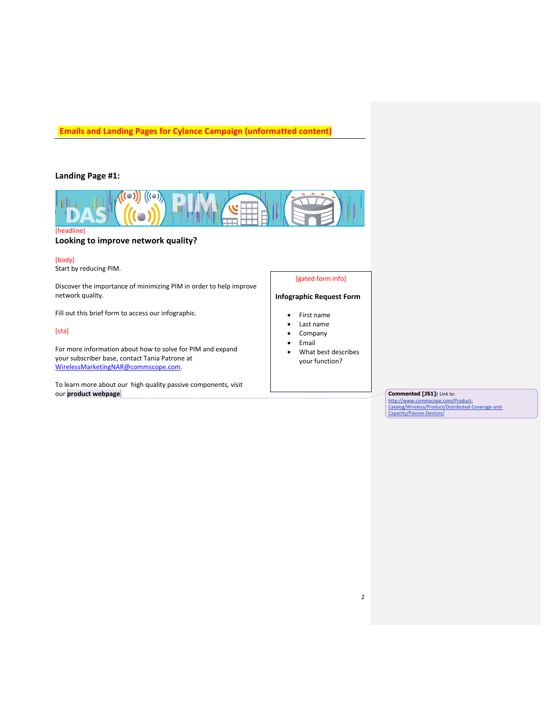### **Landing Page #1:**



[headline]

### **Looking to improve network quality?**

#### [body]

Start by reducing PIM.

Discover the importance of minimizing PIM in order to help improve network quality.

Fill out this brief form to access our infographic.

#### [cta]

For more information about how to solve for PIM and expand your subscriber base, contact Tania Patrone at WirelessMarketingNAR@commscope.com.

To learn more about our high quality passive components, visit our **product webpage**.

#### [gated form info]

#### **Infographic Request Form**

- First name
- Last name
- Company
- Email
- What best describes your function?

#### **Commented [JS1]:** Link to:

http://www.commscope.com/Product-Catalog/Wireless/Product/Distributed-Coverage-and-Capacity/Passive-Devices/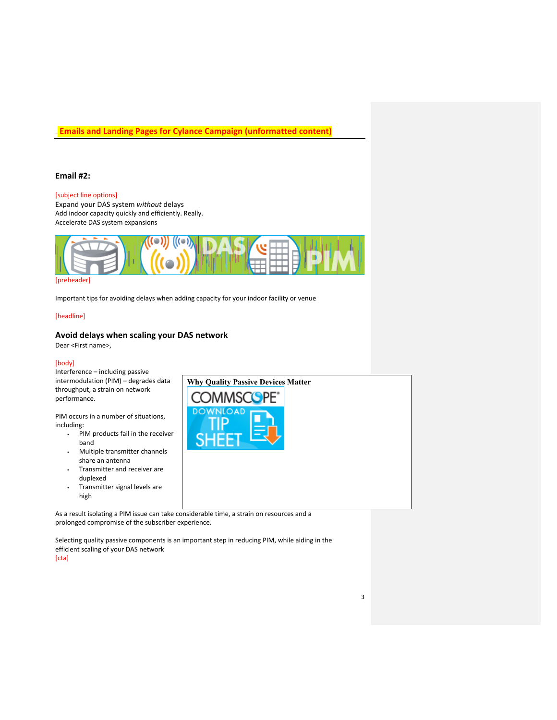### **Email #2:**

### [subject line options]

Expand your DAS system *without* delays Add indoor capacity quickly and efficiently. Really. Accelerate DAS system expansions



Important tips for avoiding delays when adding capacity for your indoor facility or venue

#### [headline]

### **Avoid delays when scaling your DAS network**

Dear <First name>,

#### [body]

Interference – including passive intermodulation (PIM) – degrades data throughput, a strain on network performance.

PIM occurs in a number of situations, including:

- ! PIM products fail in the receiver band
- ! Multiple transmitter channels share an antenna
- ! Transmitter and receiver are duplexed
- ! Transmitter signal levels are high

As a result isolating a PIM issue can take considerable time, a strain on resources and a prolonged compromise of the subscriber experience.

Selecting quality passive components is an important step in reducing PIM, while aiding in the efficient scaling of your DAS network

[cta]

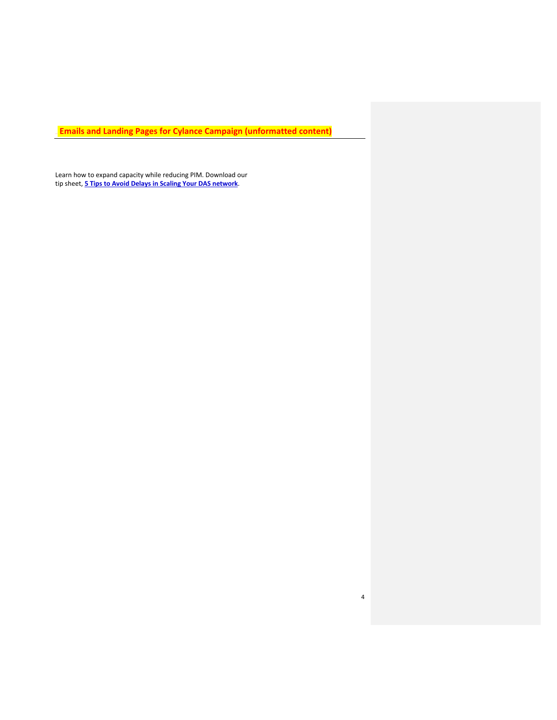4

Learn how to expand capacity while reducing PIM. Download our tip sheet, **5 Tips to Avoid Delays in Scaling Your DAS network**.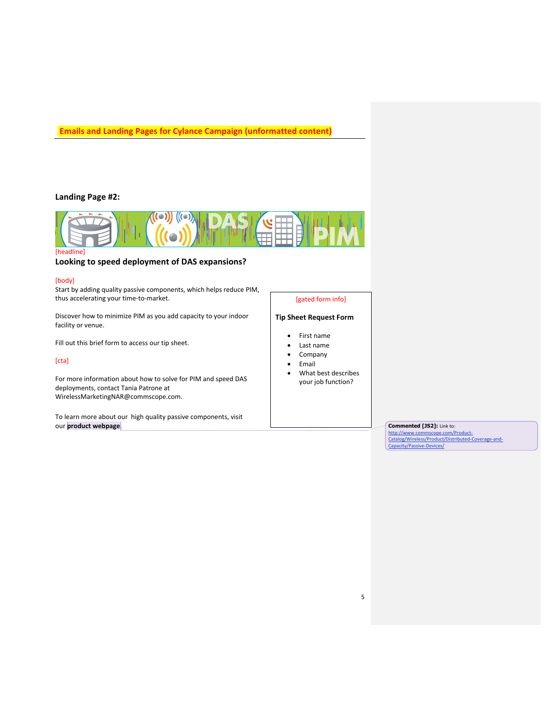### **Landing Page #2:**



### **Looking to speed deployment of DAS expansions?**

#### [body]

Start by adding quality passive components, which helps reduce PIM, thus accelerating your time-to-market.

Discover how to minimize PIM as you add capacity to your indoor facility or venue.

Fill out this brief form to access our tip sheet.

#### [cta]

For more information about how to solve for PIM and speed DAS deployments, contact Tania Patrone at WirelessMarketingNAR@commscope.com.

To learn more about our high quality passive components, visit our **product webpage**.

# [gated form info]

### **Tip Sheet Request Form**

- First name
- Last name
- Company
- Email
- What best describes your job function?

5

## **Commented [JS2]:** Link to:

http://www.commscope.com/Product-Catalog/Wireless/Product/Distributed-Coverage-and-Capacity/Passive-Devices/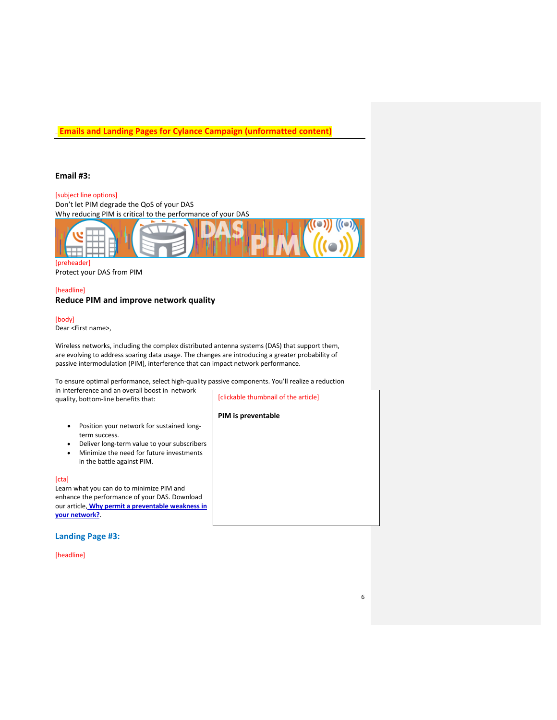### **Email #3:**

### [subject line options]

Don't let PIM degrade the QoS of your DAS Why reducing PIM is critical to the performance of your DAS



Protect your DAS from PIM

### [headline] **Reduce PIM and improve network quality**

[body]

Dear <First name>,

Wireless networks, including the complex distributed antenna systems (DAS) that support them, are evolving to address soaring data usage. The changes are introducing a greater probability of passive intermodulation (PIM), interference that can impact network performance.

To ensure optimal performance, select high-quality passive components. You'll realize a reduction

| in interference and an overall boost in network |  |
|-------------------------------------------------|--|
| quality, bottom-line benefits that:             |  |

in the battle against PIM.

Learn what you can do to minimize PIM and enhance the performance of your DAS. Download our article, **Why permit a preventable weakness in** 

term success.

• Position your network for sustained long-

• Deliver long-term value to your subscribers • Minimize the need for future investments

[clickable thumbnail of the article]

**PIM is preventable**

### **Landing Page #3:**

**your network?**.

[headline]

[cta]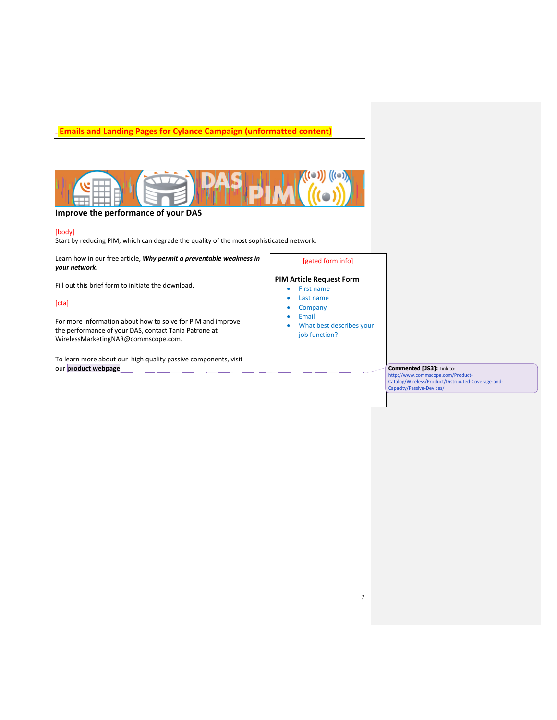

### **Improve the performance of your DAS**

#### [body]

Start by reducing PIM, which can degrade the quality of the most sophisticated network.

Learn how in our free article, *Why permit a preventable weakness in your network***.** 

Fill out this brief form to initiate the download.

#### [cta]

For more information about how to solve for PIM and improve the performance of your DAS, contact Tania Patrone at WirelessMarketingNAR@commscope.com.

To learn more about our high quality passive components, visit our **product webpage**.

#### [gated form info]

### **PIM Article Request Form**

- First name
- Last name
- Company
- Email
- What best describes your job function?

7

**Commented [JS3]:** Link to:

http://www.commscope.com/Product-Catalog/Wireless/Product/Distributed-Coverage-and-Capacity/Passive-Devices/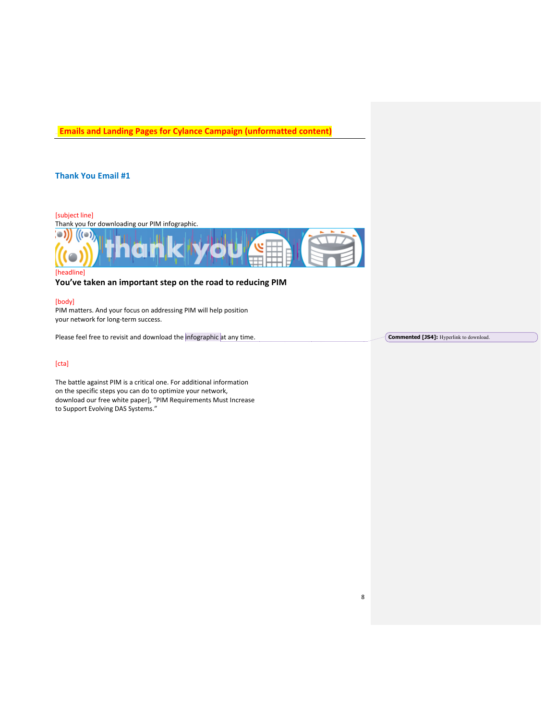### **Thank You Email #1**



**You've taken an important step on the road to reducing PIM**

#### [body]

PIM matters. And your focus on addressing PIM will help position your network for long-term success.

Please feel free to revisit and download the infographic at any time.

#### [cta]

The battle against PIM is a critical one. For additional information on the specific steps you can do to optimize your network, download our free white paper], "PIM Requirements Must Increase to Support Evolving DAS Systems."

**Commented [JS4]:** Hyperlink to download.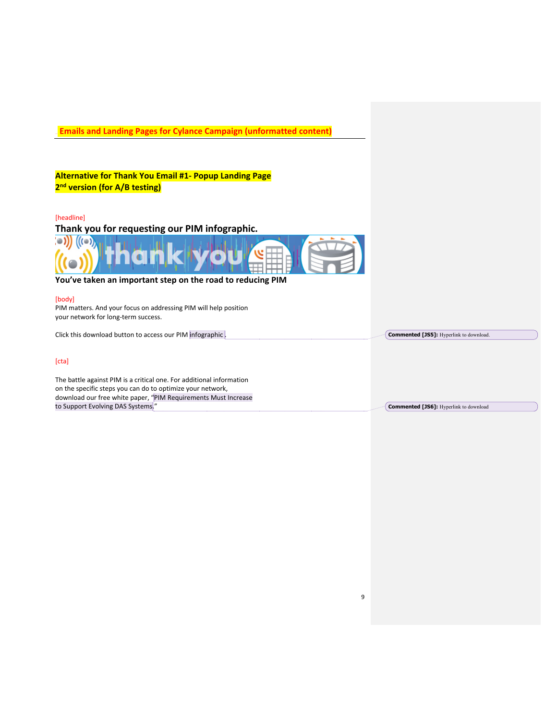| <b>Emails and Landing Pages for Cylance Campaign (unformatted content)</b>                                                                                                                           |                                                |
|------------------------------------------------------------------------------------------------------------------------------------------------------------------------------------------------------|------------------------------------------------|
| Alternative for Thank You Email #1- Popup Landing Page                                                                                                                                               |                                                |
| 2 <sup>nd</sup> version (for A/B testing)                                                                                                                                                            |                                                |
| [headline]<br>Thank you for requesting our PIM infographic.                                                                                                                                          |                                                |
|                                                                                                                                                                                                      |                                                |
| You've taken an important step on the road to reducing PIM                                                                                                                                           |                                                |
| [body]<br>PIM matters. And your focus on addressing PIM will help position<br>your network for long-term success.                                                                                    |                                                |
| Click this download button to access our PIM infographic.                                                                                                                                            | <b>Commented [JS5]:</b> Hyperlink to download. |
| [cta]                                                                                                                                                                                                |                                                |
| The battle against PIM is a critical one. For additional information<br>on the specific steps you can do to optimize your network,<br>download our free white paper, "PIM Requirements Must Increase |                                                |
| to Support Evolving DAS Systems."                                                                                                                                                                    | <b>Commented [JS6]:</b> Hyperlink to download  |
|                                                                                                                                                                                                      |                                                |
|                                                                                                                                                                                                      |                                                |
|                                                                                                                                                                                                      |                                                |

9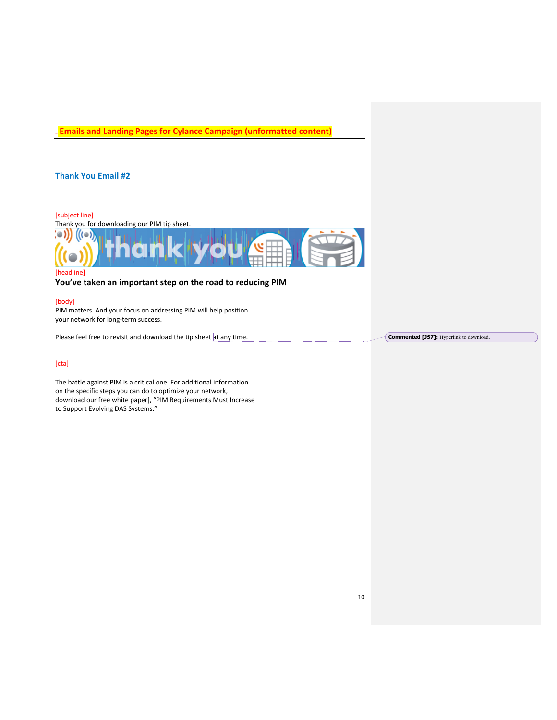### **Thank You Email #2**



**You've taken an important step on the road to reducing PIM**

#### [body]

PIM matters. And your focus on addressing PIM will help position your network for long-term success.

Please feel free to revisit and download the tip sheet at any time.

#### [cta]

The battle against PIM is a critical one. For additional information on the specific steps you can do to optimize your network, download our free white paper], "PIM Requirements Must Increase to Support Evolving DAS Systems."

**Commented [JS7]:** Hyperlink to download.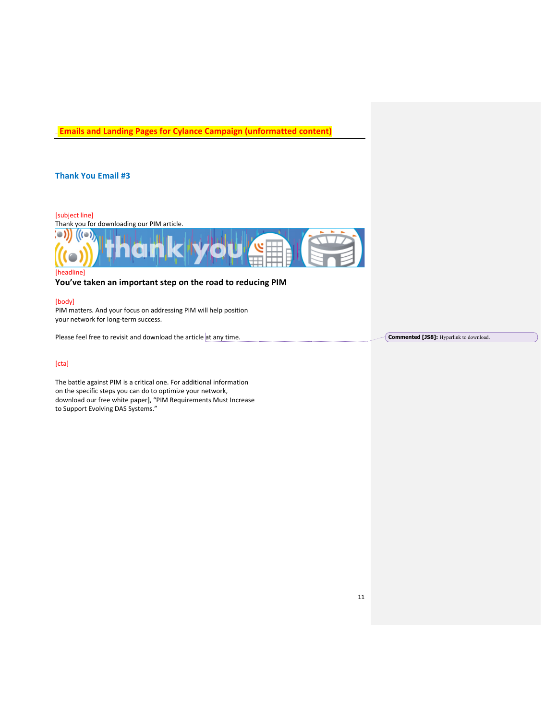## **Thank You Email #3**



**You've taken an important step on the road to reducing PIM**

#### [body]

PIM matters. And your focus on addressing PIM will help position your network for long-term success.

Please feel free to revisit and download the article at any time.

#### [cta]

The battle against PIM is a critical one. For additional information on the specific steps you can do to optimize your network, download our free white paper], "PIM Requirements Must Increase to Support Evolving DAS Systems."

**Commented [JS8]:** Hyperlink to download.